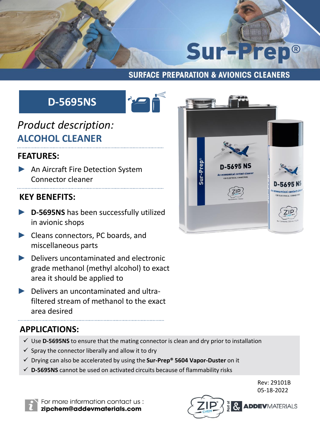

#### **SURFACE PREPARATION & AVIONICS CLEANERS**

# **D-5695NS**



## *Product description:* **ALCOHOL CLEANER**

#### **FEATURES:**

► An Aircraft Fire Detection System Connector cleaner

### **KEY BENEFITS:**

- ► **D-5695NS** has been successfully utilized in avionic shops
- ► Cleans connectors, PC boards, and miscellaneous parts
- ► Delivers uncontaminated and electronic grade methanol (methyl alcohol) to exact area it should be applied to
- ► Delivers an uncontaminated and ultrafiltered stream of methanol to the exact area desired

#### **APPLICATIONS:**

- $\checkmark$  Use **D-5695NS** to ensure that the mating connector is clean and dry prior to installation
- $\checkmark$  Spray the connector liberally and allow it to dry
- ✓ Drying can also be accelerated by using the **Sur-Prep® 5604 Vapor-Duster** on it
- $\checkmark$  D-5695NS cannot be used on activated circuits because of flammability risks





For more information contact us: zipchem@addevmaterials.com